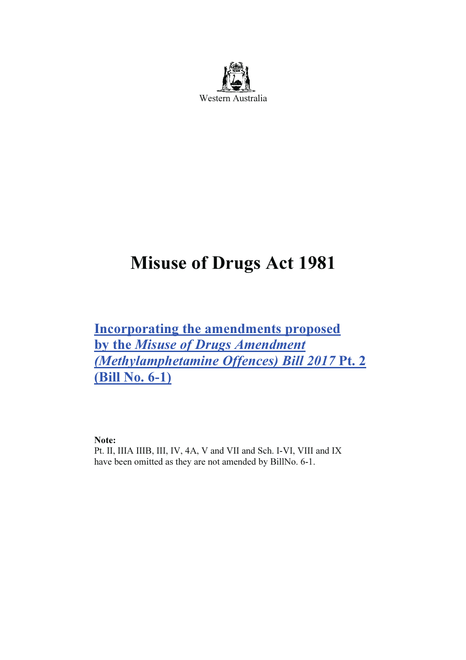

# Misuse of Drugs Act 1981

Incorporating the amendments proposed by the Misuse of Drugs Amendment (Methylamphetamine Offences) Bill 2017 Pt. 2 (Bill No. 6-1)

Note:

Pt. II, IIIA IIIB, III, IV, 4A, V and VII and Sch. I-VI, VIII and IX have been omitted as they are not amended by BillNo. 6-1.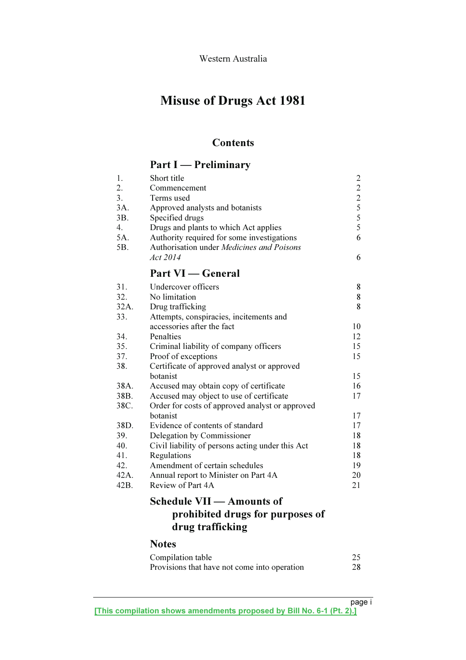## Misuse of Drugs Act 1981

## **Contents**

## Part I — Preliminary

| 1.               | Short title                                          |                                           |
|------------------|------------------------------------------------------|-------------------------------------------|
| 2.               | Commencement                                         |                                           |
| 3.               | Terms used                                           |                                           |
| 3A.              | Approved analysts and botanists                      |                                           |
| 3B.              | Specified drugs                                      | $\frac{2}{2}$ $\frac{2}{5}$ $\frac{5}{5}$ |
| $\overline{4}$ . | Drugs and plants to which Act applies                |                                           |
| 5A.              | Authority required for some investigations           | 6                                         |
| 5B.              | Authorisation under Medicines and Poisons            |                                           |
|                  | Act 2014                                             | 6                                         |
|                  | <b>Part VI</b> — General                             |                                           |
| 31.              | Undercover officers                                  | 8                                         |
| 32.              | No limitation                                        | 8                                         |
| 32A.             | Drug trafficking                                     | 8                                         |
| 33.              | Attempts, conspiracies, incitements and              |                                           |
|                  | accessories after the fact                           | 10                                        |
| 34.              | Penalties                                            | 12                                        |
| 35.              | Criminal liability of company officers               | 15                                        |
| 37.              | Proof of exceptions                                  | 15                                        |
| 38.              | Certificate of approved analyst or approved          |                                           |
|                  | botanist                                             | 15                                        |
| 38A.             | Accused may obtain copy of certificate               | 16                                        |
| 38B.             | Accused may object to use of certificate             | 17                                        |
| 38C.             | Order for costs of approved analyst or approved      |                                           |
|                  | botanist                                             | 17                                        |
| 38D.             | Evidence of contents of standard                     | 17                                        |
| 39.              | Delegation by Commissioner                           | 18                                        |
| 40.              | Civil liability of persons acting under this Act     | 18                                        |
| 41.              | Regulations                                          | 18                                        |
| 42.              | Amendment of certain schedules                       | 19                                        |
| 42A.             | Annual report to Minister on Part 4A                 | 20                                        |
| 42B.             | Review of Part 4A                                    | 21                                        |
|                  | Schedule VII — Amounts of                            |                                           |
|                  | prohibited drugs for purposes of<br>drug trafficking |                                           |

## Notes

| Compilation table                            |    |
|----------------------------------------------|----|
| Provisions that have not come into operation | 28 |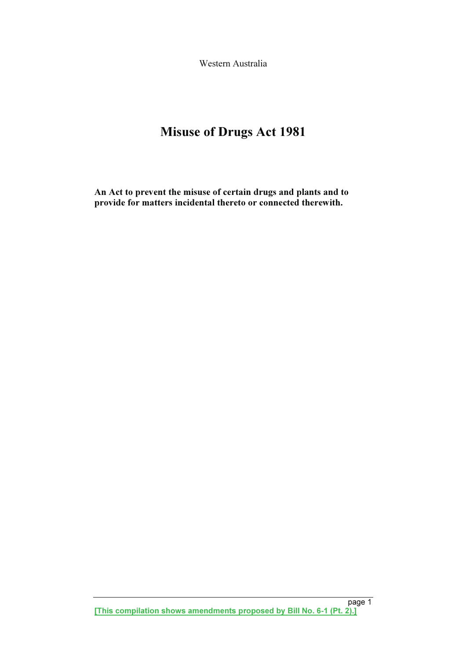Western Australia

## Misuse of Drugs Act 1981

An Act to prevent the misuse of certain drugs and plants and to provide for matters incidental thereto or connected therewith.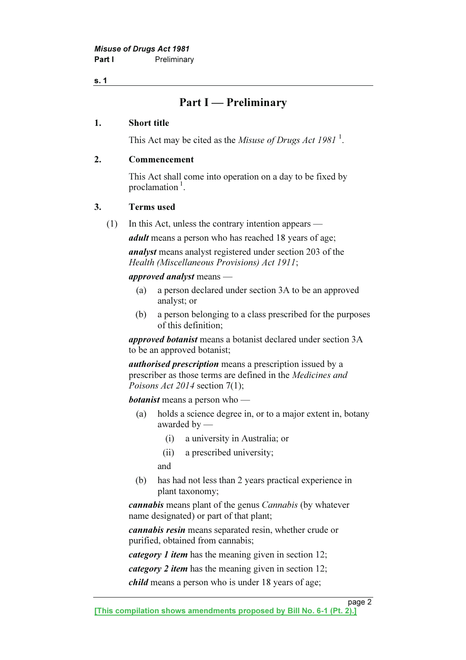## Part I — Preliminary

#### 1. Short title

This Act may be cited as the *Misuse of Drugs Act 1981*<sup>1</sup>.

#### 2. Commencement

 This Act shall come into operation on a day to be fixed by proclamation $\frac{1}{1}$ .

#### 3. Terms used

(1) In this Act, unless the contrary intention appears —

adult means a person who has reached 18 years of age;

analyst means analyst registered under section 203 of the Health (Miscellaneous Provisions) Act 1911;

#### approved analyst means —

- (a) a person declared under section 3A to be an approved analyst; or
- (b) a person belonging to a class prescribed for the purposes of this definition;

approved botanist means a botanist declared under section 3A to be an approved botanist;

authorised prescription means a prescription issued by a prescriber as those terms are defined in the Medicines and Poisons Act 2014 section 7(1);

**botanist** means a person who —

- (a) holds a science degree in, or to a major extent in, botany awarded by —
	- (i) a university in Australia; or
	- (ii) a prescribed university;

and

 (b) has had not less than 2 years practical experience in plant taxonomy;

cannabis means plant of the genus Cannabis (by whatever name designated) or part of that plant;

cannabis resin means separated resin, whether crude or purified, obtained from cannabis;

category 1 item has the meaning given in section 12;

category 2 item has the meaning given in section 12;

child means a person who is under 18 years of age;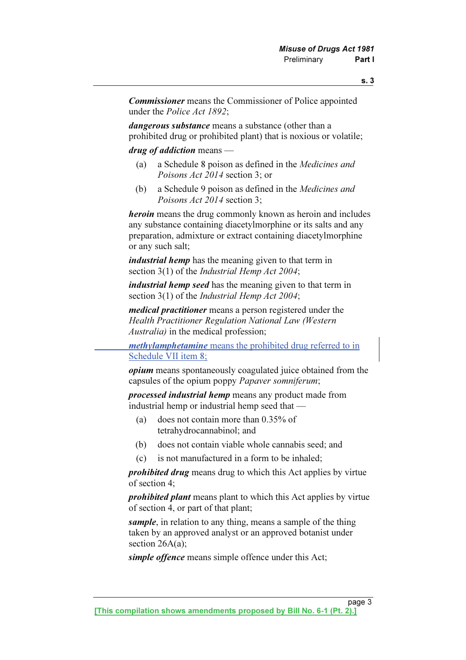Commissioner means the Commissioner of Police appointed under the Police Act 1892;

dangerous substance means a substance (other than a prohibited drug or prohibited plant) that is noxious or volatile;

drug of addiction means —

- (a) a Schedule 8 poison as defined in the Medicines and Poisons Act 2014 section 3; or
- (b) a Schedule 9 poison as defined in the Medicines and Poisons Act 2014 section 3;

heroin means the drug commonly known as heroin and includes any substance containing diacetylmorphine or its salts and any preparation, admixture or extract containing diacetylmorphine or any such salt;

industrial hemp has the meaning given to that term in section 3(1) of the *Industrial Hemp Act 2004*;

industrial hemp seed has the meaning given to that term in section 3(1) of the *Industrial Hemp Act 2004*;

medical practitioner means a person registered under the Health Practitioner Regulation National Law (Western Australia) in the medical profession;

methylamphetamine means the prohibited drug referred to in Schedule VII item 8;

opium means spontaneously coagulated juice obtained from the capsules of the opium poppy Papaver somniferum;

processed industrial hemp means any product made from industrial hemp or industrial hemp seed that —

- (a) does not contain more than 0.35% of tetrahydrocannabinol; and
- (b) does not contain viable whole cannabis seed; and
- (c) is not manufactured in a form to be inhaled;

*prohibited drug* means drug to which this Act applies by virtue of section 4;

prohibited plant means plant to which this Act applies by virtue of section 4, or part of that plant;

sample, in relation to any thing, means a sample of the thing taken by an approved analyst or an approved botanist under section 26A(a);

simple offence means simple offence under this Act;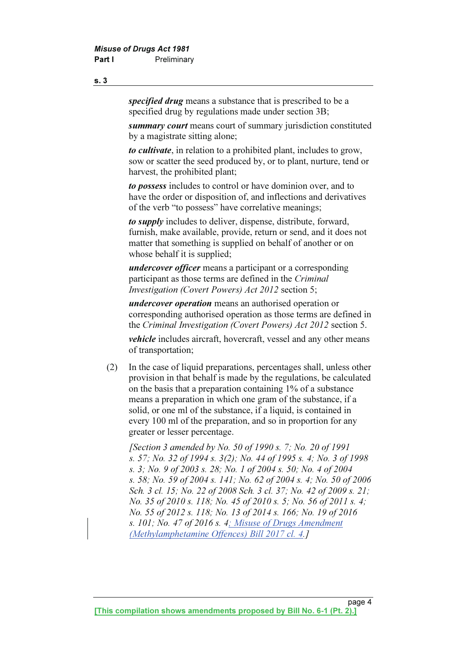specified drug means a substance that is prescribed to be a specified drug by regulations made under section 3B;

summary court means court of summary jurisdiction constituted by a magistrate sitting alone;

to cultivate, in relation to a prohibited plant, includes to grow, sow or scatter the seed produced by, or to plant, nurture, tend or harvest, the prohibited plant;

to possess includes to control or have dominion over, and to have the order or disposition of, and inflections and derivatives of the verb "to possess" have correlative meanings;

to *supply* includes to deliver, dispense, distribute, forward, furnish, make available, provide, return or send, and it does not matter that something is supplied on behalf of another or on whose behalf it is supplied;

undercover officer means a participant or a corresponding participant as those terms are defined in the Criminal Investigation (Covert Powers) Act 2012 section 5;

undercover operation means an authorised operation or corresponding authorised operation as those terms are defined in the Criminal Investigation (Covert Powers) Act 2012 section 5.

*vehicle* includes aircraft, hovercraft, vessel and any other means of transportation;

 (2) In the case of liquid preparations, percentages shall, unless other provision in that behalf is made by the regulations, be calculated on the basis that a preparation containing 1% of a substance means a preparation in which one gram of the substance, if a solid, or one ml of the substance, if a liquid, is contained in every 100 ml of the preparation, and so in proportion for any greater or lesser percentage.

 [Section 3 amended by No. 50 of 1990 s. 7; No. 20 of 1991 s. 57; No. 32 of 1994 s. 3(2); No. 44 of 1995 s. 4; No. 3 of 1998 s. 3; No. 9 of 2003 s. 28; No. 1 of 2004 s. 50; No. 4 of 2004 s. 58; No. 59 of 2004 s. 141; No. 62 of 2004 s. 4; No. 50 of 2006 Sch. 3 cl. 15; No. 22 of 2008 Sch. 3 cl. 37; No. 42 of 2009 s. 21; No. 35 of 2010 s. 118; No. 45 of 2010 s. 5; No. 56 of 2011 s. 4; No. 55 of 2012 s. 118; No. 13 of 2014 s. 166; No. 19 of 2016 s. 101; No. 47 of 2016 s. 4; Misuse of Drugs Amendment (Methylamphetamine Offences) Bill 2017 cl. 4.]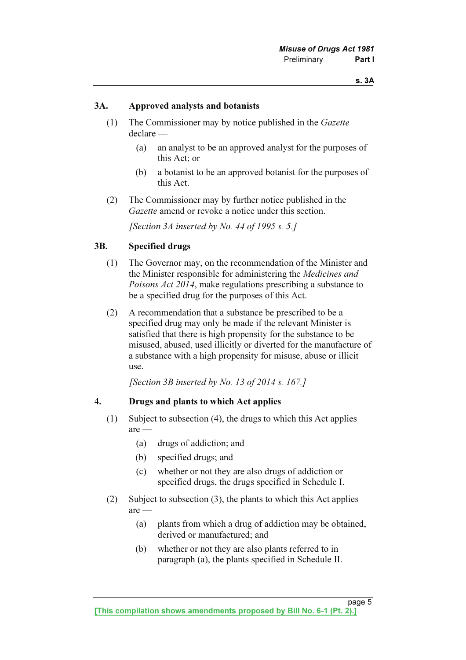#### 3A. Approved analysts and botanists

- (1) The Commissioner may by notice published in the Gazette declare —
	- (a) an analyst to be an approved analyst for the purposes of this Act; or
	- (b) a botanist to be an approved botanist for the purposes of this Act.
- (2) The Commissioner may by further notice published in the Gazette amend or revoke a notice under this section.

[Section 3A inserted by No. 44 of 1995 s. 5.]

#### 3B. Specified drugs

- (1) The Governor may, on the recommendation of the Minister and the Minister responsible for administering the Medicines and Poisons Act 2014, make regulations prescribing a substance to be a specified drug for the purposes of this Act.
- (2) A recommendation that a substance be prescribed to be a specified drug may only be made if the relevant Minister is satisfied that there is high propensity for the substance to be misused, abused, used illicitly or diverted for the manufacture of a substance with a high propensity for misuse, abuse or illicit use.

[Section 3B inserted by No. 13 of  $2014$  s. 167.]

#### 4. Drugs and plants to which Act applies

- (1) Subject to subsection (4), the drugs to which this Act applies are —
	- (a) drugs of addiction; and
	- (b) specified drugs; and
	- (c) whether or not they are also drugs of addiction or specified drugs, the drugs specified in Schedule I.
- (2) Subject to subsection (3), the plants to which this Act applies are —
	- (a) plants from which a drug of addiction may be obtained, derived or manufactured; and
	- (b) whether or not they are also plants referred to in paragraph (a), the plants specified in Schedule II.

page 5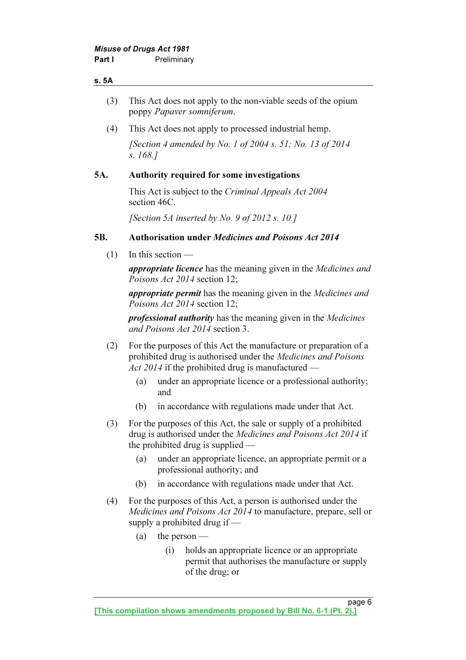#### s. 5A

- (3) This Act does not apply to the non-viable seeds of the opium poppy Papaver somniferum.
- (4) This Act does not apply to processed industrial hemp.

[Section 4 amended by No. 1 of 2004 s. 51; No. 13 of 2014] s. 168.]

#### 5A. Authority required for some investigations

This Act is subject to the *Criminal Appeals Act 2004* section 46C.

[Section 5A inserted by No. 9 of 2012 s. 10.]

#### 5B. Authorisation under Medicines and Poisons Act 2014

(1) In this section —

**appropriate licence** has the meaning given in the *Medicines and* Poisons Act 2014 section 12;

**appropriate permit** has the meaning given in the *Medicines and* Poisons Act 2014 section 12;

professional authority has the meaning given in the Medicines and Poisons Act 2014 section 3.

- (2) For the purposes of this Act the manufacture or preparation of a prohibited drug is authorised under the Medicines and Poisons Act 2014 if the prohibited drug is manufactured —
	- (a) under an appropriate licence or a professional authority; and
	- (b) in accordance with regulations made under that Act.
- (3) For the purposes of this Act, the sale or supply of a prohibited drug is authorised under the *Medicines and Poisons Act 2014* if the prohibited drug is supplied —
	- (a) under an appropriate licence, an appropriate permit or a professional authority; and
	- (b) in accordance with regulations made under that Act.
- (4) For the purposes of this Act, a person is authorised under the Medicines and Poisons Act 2014 to manufacture, prepare, sell or supply a prohibited drug if —
	- (a) the person
		- (i) holds an appropriate licence or an appropriate permit that authorises the manufacture or supply of the drug; or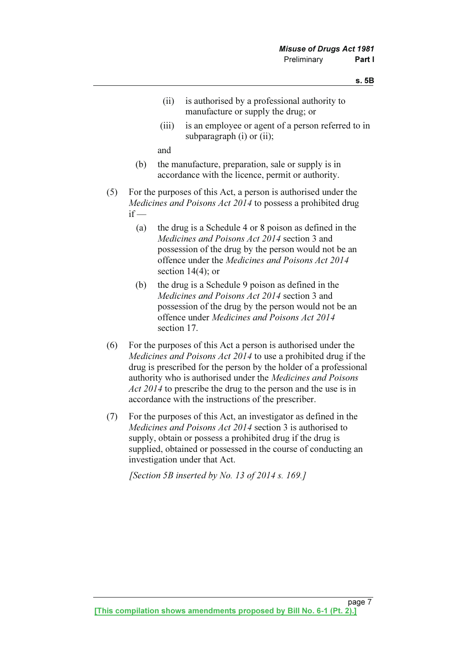- (ii) is authorised by a professional authority to manufacture or supply the drug; or
- (iii) is an employee or agent of a person referred to in subparagraph (i) or (ii);

and

- (b) the manufacture, preparation, sale or supply is in accordance with the licence, permit or authority.
- (5) For the purposes of this Act, a person is authorised under the Medicines and Poisons Act 2014 to possess a prohibited drug  $if -$ 
	- (a) the drug is a Schedule 4 or 8 poison as defined in the Medicines and Poisons Act 2014 section 3 and possession of the drug by the person would not be an offence under the Medicines and Poisons Act 2014 section 14(4); or
	- (b) the drug is a Schedule 9 poison as defined in the Medicines and Poisons Act 2014 section 3 and possession of the drug by the person would not be an offence under Medicines and Poisons Act 2014 section 17.
- (6) For the purposes of this Act a person is authorised under the Medicines and Poisons Act 2014 to use a prohibited drug if the drug is prescribed for the person by the holder of a professional authority who is authorised under the Medicines and Poisons Act 2014 to prescribe the drug to the person and the use is in accordance with the instructions of the prescriber.
- (7) For the purposes of this Act, an investigator as defined in the Medicines and Poisons Act 2014 section 3 is authorised to supply, obtain or possess a prohibited drug if the drug is supplied, obtained or possessed in the course of conducting an investigation under that Act.

[Section 5B inserted by No. 13 of 2014 s. 169.]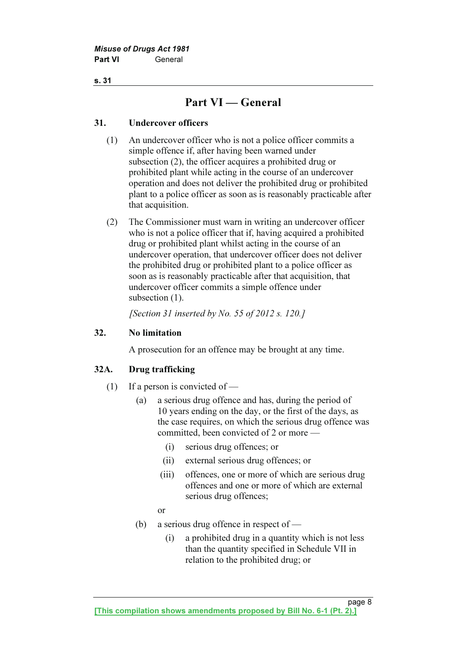## Part VI — General

#### 31. Undercover officers

- (1) An undercover officer who is not a police officer commits a simple offence if, after having been warned under subsection (2), the officer acquires a prohibited drug or prohibited plant while acting in the course of an undercover operation and does not deliver the prohibited drug or prohibited plant to a police officer as soon as is reasonably practicable after that acquisition.
- (2) The Commissioner must warn in writing an undercover officer who is not a police officer that if, having acquired a prohibited drug or prohibited plant whilst acting in the course of an undercover operation, that undercover officer does not deliver the prohibited drug or prohibited plant to a police officer as soon as is reasonably practicable after that acquisition, that undercover officer commits a simple offence under subsection  $(1)$ .

[Section 31 inserted by No. 55 of 2012 s. 120.]

#### 32. No limitation

A prosecution for an offence may be brought at any time.

### 32A. Drug trafficking

- $(1)$  If a person is convicted of
	- (a) a serious drug offence and has, during the period of 10 years ending on the day, or the first of the days, as the case requires, on which the serious drug offence was committed, been convicted of 2 or more —
		- (i) serious drug offences; or
		- (ii) external serious drug offences; or
		- (iii) offences, one or more of which are serious drug offences and one or more of which are external serious drug offences;
		- or
	- (b) a serious drug offence in respect of
		- (i) a prohibited drug in a quantity which is not less than the quantity specified in Schedule VII in relation to the prohibited drug; or

page 8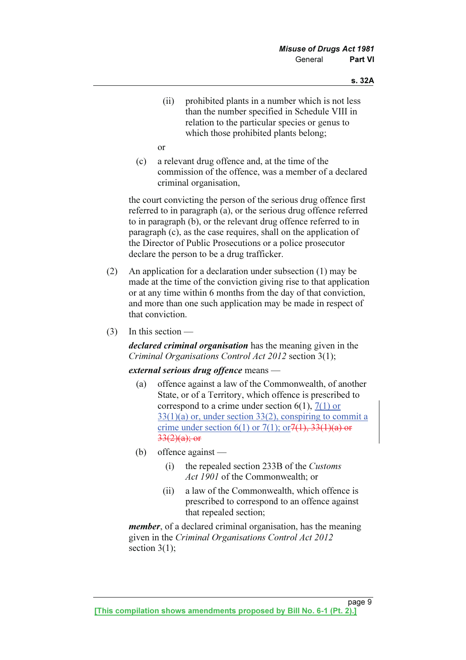(ii) prohibited plants in a number which is not less than the number specified in Schedule VIII in relation to the particular species or genus to which those prohibited plants belong;

or

 (c) a relevant drug offence and, at the time of the commission of the offence, was a member of a declared criminal organisation,

 the court convicting the person of the serious drug offence first referred to in paragraph (a), or the serious drug offence referred to in paragraph (b), or the relevant drug offence referred to in paragraph (c), as the case requires, shall on the application of the Director of Public Prosecutions or a police prosecutor declare the person to be a drug trafficker.

- (2) An application for a declaration under subsection (1) may be made at the time of the conviction giving rise to that application or at any time within 6 months from the day of that conviction, and more than one such application may be made in respect of that conviction.
- (3) In this section —

declared criminal organisation has the meaning given in the Criminal Organisations Control Act 2012 section 3(1);

#### external serious drug offence means —

- (a) offence against a law of the Commonwealth, of another State, or of a Territory, which offence is prescribed to correspond to a crime under section  $6(1)$ ,  $7(1)$  or 33(1)(a) or, under section 33(2), conspiring to commit a crime under section 6(1) or 7(1); or  $7(1)$ ;  $7(1)$ ,  $33(1)(a)$  or  $33(2)(a)$ ; or
- (b) offence against
	- (i) the repealed section 233B of the Customs Act 1901 of the Commonwealth; or
	- (ii) a law of the Commonwealth, which offence is prescribed to correspond to an offence against that repealed section;

member, of a declared criminal organisation, has the meaning given in the Criminal Organisations Control Act 2012 section  $3(1)$ ;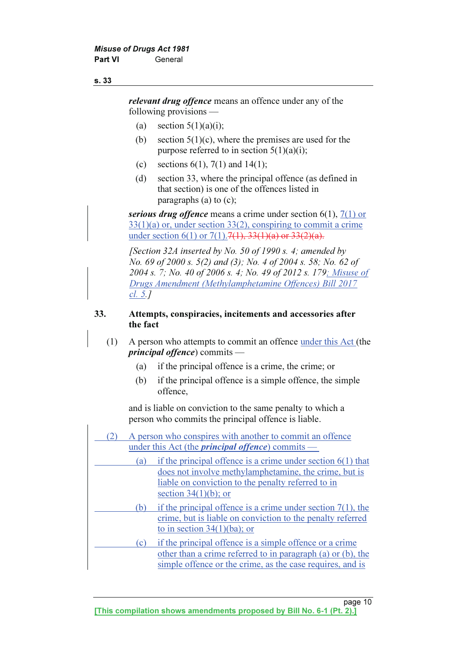relevant drug offence means an offence under any of the following provisions —

- (a) section  $5(1)(a)(i)$ ;
- (b) section  $5(1)(c)$ , where the premises are used for the purpose referred to in section  $5(1)(a)(i)$ ;
- (c) sections  $6(1)$ ,  $7(1)$  and  $14(1)$ ;
- (d) section 33, where the principal offence (as defined in that section) is one of the offences listed in paragraphs (a) to (c);

serious drug offence means a crime under section  $6(1)$ ,  $7(1)$  or  $33(1)(a)$  or, under section 33(2), conspiring to commit a crime under section 6(1) or 7(1).  $7(1)$ ,  $7(1)$ ,  $33(1)(a)$  or  $33(2)(a)$ .

[Section 32A inserted by No. 50 of 1990 s. 4; amended by No. 69 of 2000 s. 5(2) and (3); No. 4 of 2004 s. 58; No. 62 of 2004 s. 7; No. 40 of 2006 s. 4; No. 49 of 2012 s. 179; Misuse of Drugs Amendment (Methylamphetamine Offences) Bill 2017 cl. 5.]

#### 33. Attempts, conspiracies, incitements and accessories after the fact

- (1) A person who attempts to commit an offence under this Act (the principal offence) commits —
	- (a) if the principal offence is a crime, the crime; or
	- (b) if the principal offence is a simple offence, the simple offence,

 and is liable on conviction to the same penalty to which a person who commits the principal offence is liable.

|                                                          | A person who conspires with another to commit an offence                                                                                                                            |  |  |  |  |
|----------------------------------------------------------|-------------------------------------------------------------------------------------------------------------------------------------------------------------------------------------|--|--|--|--|
| under this Act (the <i>principal offence</i> ) commits — |                                                                                                                                                                                     |  |  |  |  |
| a                                                        | if the principal offence is a crime under section $6(1)$ that                                                                                                                       |  |  |  |  |
|                                                          | does not involve methylamphetamine, the crime, but is<br>liable on conviction to the penalty referred to in<br>section $34(1)(b)$ ; or                                              |  |  |  |  |
|                                                          |                                                                                                                                                                                     |  |  |  |  |
| (b                                                       | if the principal offence is a crime under section $7(1)$ , the<br>crime, but is liable on conviction to the penalty referred<br>to in section $34(1)(ba)$ ; or                      |  |  |  |  |
| l c                                                      | if the principal offence is a simple offence or a crime<br>other than a crime referred to in paragraph (a) or (b), the<br>simple offence or the crime, as the case requires, and is |  |  |  |  |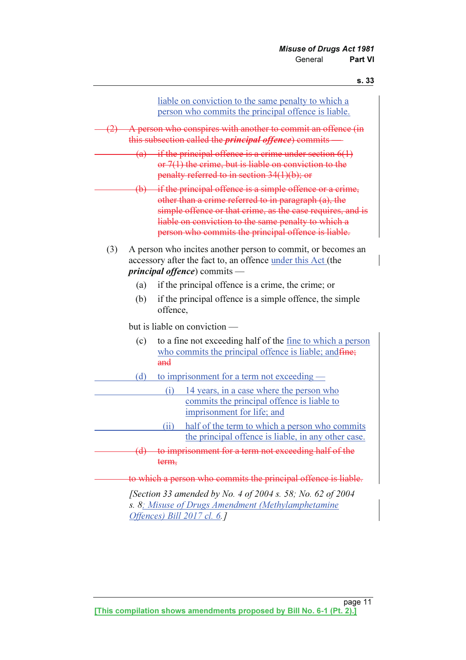|     |          | liable on conviction to the same penalty to which a<br>person who commits the principal offence is liable.                                                                                                                                                                                         |
|-----|----------|----------------------------------------------------------------------------------------------------------------------------------------------------------------------------------------------------------------------------------------------------------------------------------------------------|
| (2) |          | A person who conspires with another to commit an offence (in<br>this subsection called the <i>principal offence</i> ) commits —                                                                                                                                                                    |
|     |          | (a) if the principal offence is a crime under section $6(1)$<br>or $7(1)$ the crime, but is liable on conviction to the<br>penalty referred to in section 34(1)(b); or                                                                                                                             |
|     |          | $(b)$ if the principal offence is a simple offence or a crime,<br>other than a crime referred to in paragraph (a), the<br>simple offence or that crime, as the case requires, and is<br>liable on conviction to the same penalty to which a<br>person who commits the principal offence is liable. |
| (3) |          | A person who incites another person to commit, or becomes an<br>accessory after the fact to, an offence under this Act (the<br><i>principal offence</i> ) commits —                                                                                                                                |
|     | (a)      | if the principal offence is a crime, the crime; or                                                                                                                                                                                                                                                 |
|     | (b)      | if the principal offence is a simple offence, the simple<br>offence.                                                                                                                                                                                                                               |
|     |          | but is liable on conviction —                                                                                                                                                                                                                                                                      |
|     | (c)      | to a fine not exceeding half of the <u>fine to which a person</u><br>who commits the principal offence is liable; and fine;<br>and                                                                                                                                                                 |
|     | (d)      | to imprisonment for a term not exceeding —                                                                                                                                                                                                                                                         |
|     |          | 14 years, in a case where the person who<br>(i)<br>commits the principal offence is liable to<br>imprisonment for life; and                                                                                                                                                                        |
|     |          | (ii)<br>half of the term to which a person who commits<br>the principal offence is liable, in any other case.                                                                                                                                                                                      |
|     | $\Theta$ | to imprisonment for a term not exceeding half of the<br>term,                                                                                                                                                                                                                                      |
|     |          | to which a person who commits the principal offence is liable.                                                                                                                                                                                                                                     |
|     |          | [Section 33 amended by No. 4 of 2004 s. 58; No. 62 of 2004<br>s. 8; Misuse of Drugs Amendment (Methylamphetamine                                                                                                                                                                                   |

Offences) Bill 2017 cl. 6.]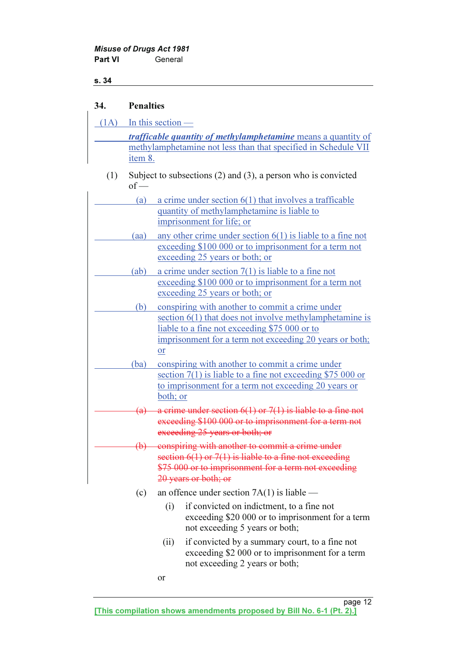### 34. Penalties

|     | $(1A)$ In this section —                                             |                                                                                                                   |  |  |  |  |
|-----|----------------------------------------------------------------------|-------------------------------------------------------------------------------------------------------------------|--|--|--|--|
|     | <i>trafficable quantity of methylamphetamine</i> means a quantity of |                                                                                                                   |  |  |  |  |
|     |                                                                      | methylamphetamine not less than that specified in Schedule VII                                                    |  |  |  |  |
|     | item 8.                                                              |                                                                                                                   |  |  |  |  |
| (1) | $of$ —                                                               | Subject to subsections $(2)$ and $(3)$ , a person who is convicted                                                |  |  |  |  |
|     | (a)                                                                  | a crime under section $6(1)$ that involves a trafficable                                                          |  |  |  |  |
|     |                                                                      | quantity of methylamphetamine is liable to                                                                        |  |  |  |  |
|     |                                                                      | imprisonment for life; or                                                                                         |  |  |  |  |
|     | (aa)                                                                 | any other crime under section $6(1)$ is liable to a fine not                                                      |  |  |  |  |
|     |                                                                      | exceeding \$100 000 or to imprisonment for a term not<br>exceeding 25 years or both; or                           |  |  |  |  |
|     | (ab)                                                                 | a crime under section $7(1)$ is liable to a fine not                                                              |  |  |  |  |
|     |                                                                      | exceeding \$100 000 or to imprisonment for a term not                                                             |  |  |  |  |
|     |                                                                      | exceeding 25 years or both; or                                                                                    |  |  |  |  |
|     | (b)                                                                  | conspiring with another to commit a crime under                                                                   |  |  |  |  |
|     |                                                                      | section $6(1)$ that does not involve methylamphetamine is                                                         |  |  |  |  |
|     |                                                                      | liable to a fine not exceeding \$75 000 or to<br>imprisonment for a term not exceeding 20 years or both;          |  |  |  |  |
|     |                                                                      | or                                                                                                                |  |  |  |  |
|     | (ba)                                                                 | conspiring with another to commit a crime under                                                                   |  |  |  |  |
|     |                                                                      | section $7(1)$ is liable to a fine not exceeding \$75 000 or                                                      |  |  |  |  |
|     |                                                                      | to imprisonment for a term not exceeding 20 years or                                                              |  |  |  |  |
|     |                                                                      | both; or                                                                                                          |  |  |  |  |
|     |                                                                      | (a) a crime under section $6(1)$ or $7(1)$ is liable to a fine not                                                |  |  |  |  |
|     |                                                                      | exceeding \$100 000 or to imprisonment for a term not<br>exceeding 25 years or both; or                           |  |  |  |  |
|     |                                                                      |                                                                                                                   |  |  |  |  |
|     |                                                                      | (b) conspiring with another to commit a crime under<br>section $6(1)$ or $7(1)$ is liable to a fine not exceeding |  |  |  |  |
|     |                                                                      | \$75 000 or to imprisonment for a term not exceeding                                                              |  |  |  |  |
|     |                                                                      | 20 years or both; or                                                                                              |  |  |  |  |
|     | (c)                                                                  | an offence under section $7A(1)$ is liable —                                                                      |  |  |  |  |
|     |                                                                      | if convicted on indictment, to a fine not<br>(i)<br>exceeding \$20 000 or to imprisonment for a term              |  |  |  |  |
|     |                                                                      | not exceeding 5 years or both;                                                                                    |  |  |  |  |
|     | if convicted by a summary court, to a fine not<br>(ii)               |                                                                                                                   |  |  |  |  |

or

not exceeding 2 years or both;

exceeding \$2 000 or to imprisonment for a term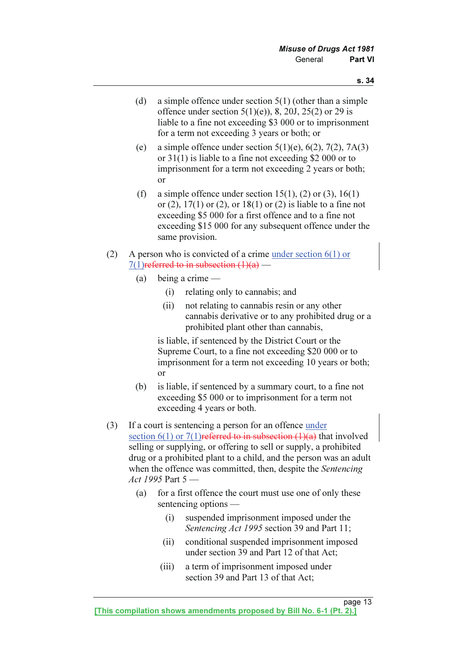- (d) a simple offence under section 5(1) (other than a simple offence under section  $5(1)(e)$ , 8, 20J, 25(2) or 29 is liable to a fine not exceeding \$3 000 or to imprisonment for a term not exceeding 3 years or both; or
- (e) a simple offence under section  $5(1)(e)$ ,  $6(2)$ ,  $7(2)$ ,  $7A(3)$ or 31(1) is liable to a fine not exceeding \$2 000 or to imprisonment for a term not exceeding 2 years or both; or
- (f) a simple offence under section  $15(1)$ , (2) or (3),  $16(1)$ or (2),  $17(1)$  or (2), or  $18(1)$  or (2) is liable to a fine not exceeding \$5 000 for a first offence and to a fine not exceeding \$15 000 for any subsequent offence under the same provision.
- (2) A person who is convicted of a crime under section 6(1) or 7(1) referred to in subsection  $(1)(a)$  —
	- (a) being a crime
		- (i) relating only to cannabis; and
		- (ii) not relating to cannabis resin or any other cannabis derivative or to any prohibited drug or a prohibited plant other than cannabis,

 is liable, if sentenced by the District Court or the Supreme Court, to a fine not exceeding \$20 000 or to imprisonment for a term not exceeding 10 years or both; or

- (b) is liable, if sentenced by a summary court, to a fine not exceeding \$5 000 or to imprisonment for a term not exceeding 4 years or both.
- (3) If a court is sentencing a person for an offence under section  $6(1)$  or  $7(1)$  referred to in subsection  $(1)(a)$  that involved selling or supplying, or offering to sell or supply, a prohibited drug or a prohibited plant to a child, and the person was an adult when the offence was committed, then, despite the *Sentencing* Act 1995 Part 5 -
	- (a) for a first offence the court must use one of only these sentencing options —
		- (i) suspended imprisonment imposed under the Sentencing Act 1995 section 39 and Part 11;
		- (ii) conditional suspended imprisonment imposed under section 39 and Part 12 of that Act;
		- (iii) a term of imprisonment imposed under section 39 and Part 13 of that Act;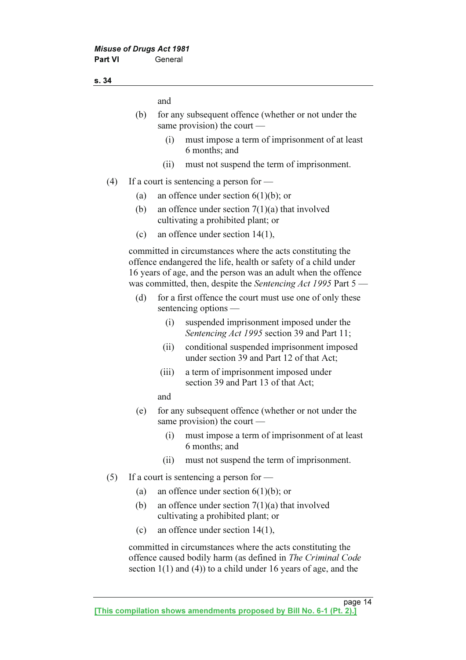and

- (b) for any subsequent offence (whether or not under the same provision) the court —
	- (i) must impose a term of imprisonment of at least 6 months; and
	- (ii) must not suspend the term of imprisonment.
- (4) If a court is sentencing a person for
	- (a) an offence under section  $6(1)(b)$ ; or
	- (b) an offence under section  $7(1)(a)$  that involved cultivating a prohibited plant; or
	- (c) an offence under section 14(1),

 committed in circumstances where the acts constituting the offence endangered the life, health or safety of a child under 16 years of age, and the person was an adult when the offence was committed, then, despite the Sentencing Act 1995 Part  $5$  —

- (d) for a first offence the court must use one of only these sentencing options —
	- (i) suspended imprisonment imposed under the Sentencing Act 1995 section 39 and Part 11;
	- (ii) conditional suspended imprisonment imposed under section 39 and Part 12 of that Act;
	- (iii) a term of imprisonment imposed under section 39 and Part 13 of that Act;
	- and
- (e) for any subsequent offence (whether or not under the same provision) the court —
	- (i) must impose a term of imprisonment of at least 6 months; and
	- (ii) must not suspend the term of imprisonment.
- (5) If a court is sentencing a person for  $-$ 
	- (a) an offence under section  $6(1)(b)$ ; or
	- (b) an offence under section 7(1)(a) that involved cultivating a prohibited plant; or
	- (c) an offence under section 14(1),

 committed in circumstances where the acts constituting the offence caused bodily harm (as defined in The Criminal Code section 1(1) and (4)) to a child under 16 years of age, and the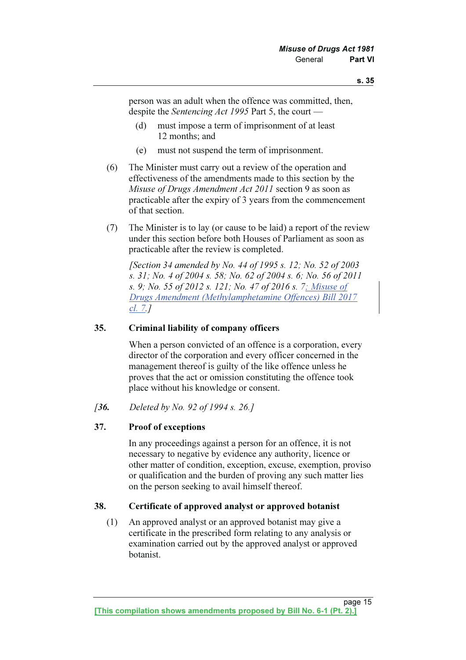person was an adult when the offence was committed, then, despite the Sentencing Act 1995 Part 5, the court —

- (d) must impose a term of imprisonment of at least 12 months; and
- (e) must not suspend the term of imprisonment.
- (6) The Minister must carry out a review of the operation and effectiveness of the amendments made to this section by the Misuse of Drugs Amendment Act 2011 section 9 as soon as practicable after the expiry of 3 years from the commencement of that section.
- (7) The Minister is to lay (or cause to be laid) a report of the review under this section before both Houses of Parliament as soon as practicable after the review is completed.

 [Section 34 amended by No. 44 of 1995 s. 12; No. 52 of 2003 s. 31; No. 4 of 2004 s. 58; No. 62 of 2004 s. 6; No. 56 of 2011 s. 9; No. 55 of 2012 s. 121; No. 47 of 2016 s. 7; Misuse of Drugs Amendment (Methylamphetamine Offences) Bill 2017 cl. 7.]

#### 35. Criminal liability of company officers

 When a person convicted of an offence is a corporation, every director of the corporation and every officer concerned in the management thereof is guilty of the like offence unless he proves that the act or omission constituting the offence took place without his knowledge or consent.

[36. Deleted by No. 92 of 1994 s. 26.]

#### 37. Proof of exceptions

 In any proceedings against a person for an offence, it is not necessary to negative by evidence any authority, licence or other matter of condition, exception, excuse, exemption, proviso or qualification and the burden of proving any such matter lies on the person seeking to avail himself thereof.

#### 38. Certificate of approved analyst or approved botanist

 (1) An approved analyst or an approved botanist may give a certificate in the prescribed form relating to any analysis or examination carried out by the approved analyst or approved botanist.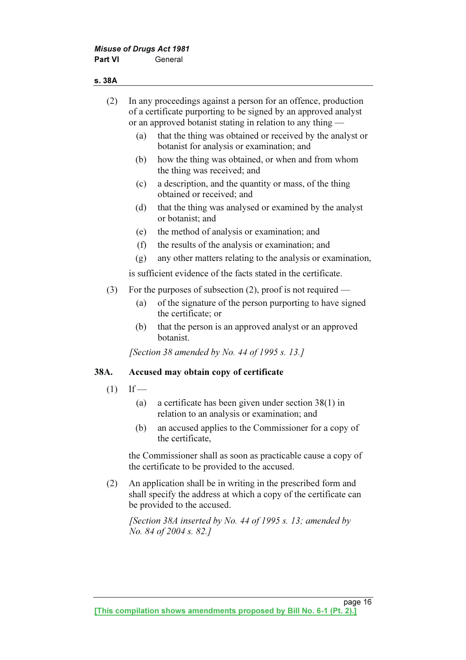#### s. 38A

| In any proceedings against a person for an offence, production<br>(2)<br>of a certificate purporting to be signed by an approved analyst<br>or an approved botanist stating in relation to any thing — |        |                                                                                                        |
|--------------------------------------------------------------------------------------------------------------------------------------------------------------------------------------------------------|--------|--------------------------------------------------------------------------------------------------------|
|                                                                                                                                                                                                        | (a)    | that the thing was obtained or received by the analyst or<br>botanist for analysis or examination; and |
|                                                                                                                                                                                                        | (b)    | how the thing was obtained, or when and from whom<br>the thing was received; and                       |
|                                                                                                                                                                                                        | (c)    | a description, and the quantity or mass, of the thing<br>obtained or received; and                     |
|                                                                                                                                                                                                        | (d)    | that the thing was analysed or examined by the analyst<br>or botanist; and                             |
|                                                                                                                                                                                                        | (e)    | the method of analysis or examination; and                                                             |
|                                                                                                                                                                                                        | (f)    | the results of the analysis or examination; and                                                        |
|                                                                                                                                                                                                        | (g)    | any other matters relating to the analysis or examination,                                             |
|                                                                                                                                                                                                        |        | is sufficient evidence of the facts stated in the certificate.                                         |
| (3)                                                                                                                                                                                                    |        | For the purposes of subsection $(2)$ , proof is not required —                                         |
|                                                                                                                                                                                                        | (a)    | of the signature of the person purporting to have signed<br>the certificate; or                        |
|                                                                                                                                                                                                        | (b)    | that the person is an approved analyst or an approved<br>botanist.                                     |
|                                                                                                                                                                                                        |        | <i>Section 38 amended by No. 44 of 1995 s. 13.]</i>                                                    |
| 38A.                                                                                                                                                                                                   |        | Accused may obtain copy of certificate                                                                 |
| (1)                                                                                                                                                                                                    | $If$ — |                                                                                                        |
|                                                                                                                                                                                                        | (a)    | a certificate has been given under section $38(1)$ in<br>relation to an analysis or examination; and   |
|                                                                                                                                                                                                        | (b)    | an accused applies to the Commissioner for a copy of<br>the certificate,                               |
|                                                                                                                                                                                                        |        | the Commissioner shall as soon as practicable cause a copy of                                          |

 the Commissioner shall as soon as practicable cause a copy of the certificate to be provided to the accused.

 (2) An application shall be in writing in the prescribed form and shall specify the address at which a copy of the certificate can be provided to the accused.

 [Section 38A inserted by No. 44 of 1995 s. 13; amended by No. 84 of 2004 s. 82.]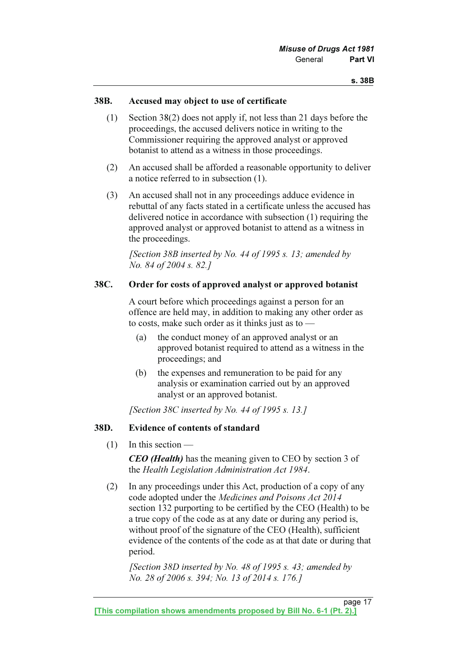#### 38B. Accused may object to use of certificate

- (1) Section 38(2) does not apply if, not less than 21 days before the proceedings, the accused delivers notice in writing to the Commissioner requiring the approved analyst or approved botanist to attend as a witness in those proceedings.
- (2) An accused shall be afforded a reasonable opportunity to deliver a notice referred to in subsection (1).
- (3) An accused shall not in any proceedings adduce evidence in rebuttal of any facts stated in a certificate unless the accused has delivered notice in accordance with subsection (1) requiring the approved analyst or approved botanist to attend as a witness in the proceedings.

[Section 38B inserted by No. 44 of 1995 s. 13; amended by No. 84 of 2004 s. 82.]

#### 38C. Order for costs of approved analyst or approved botanist

 A court before which proceedings against a person for an offence are held may, in addition to making any other order as to costs, make such order as it thinks just as to —

- (a) the conduct money of an approved analyst or an approved botanist required to attend as a witness in the proceedings; and
- (b) the expenses and remuneration to be paid for any analysis or examination carried out by an approved analyst or an approved botanist.

[Section 38C inserted by No. 44 of 1995 s. 13.]

#### 38D. Evidence of contents of standard

(1) In this section —

CEO (Health) has the meaning given to CEO by section 3 of the Health Legislation Administration Act 1984.

 (2) In any proceedings under this Act, production of a copy of any code adopted under the Medicines and Poisons Act 2014 section 132 purporting to be certified by the CEO (Health) to be a true copy of the code as at any date or during any period is, without proof of the signature of the CEO (Health), sufficient evidence of the contents of the code as at that date or during that period.

[Section 38D inserted by No. 48 of 1995 s. 43; amended by No. 28 of 2006 s. 394; No. 13 of 2014 s. 176.]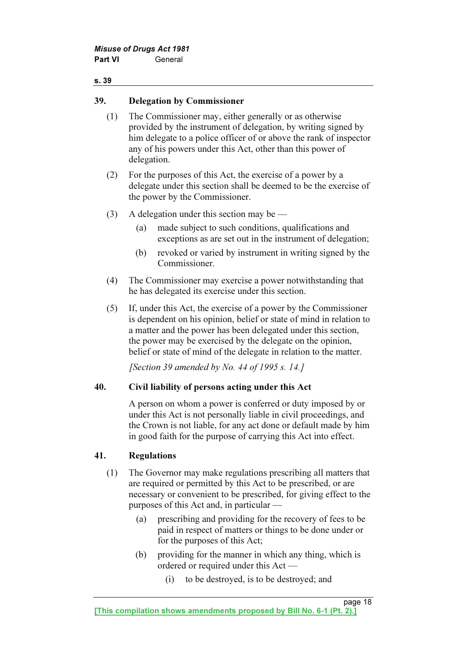#### 39. Delegation by Commissioner

- (1) The Commissioner may, either generally or as otherwise provided by the instrument of delegation, by writing signed by him delegate to a police officer of or above the rank of inspector any of his powers under this Act, other than this power of delegation.
- (2) For the purposes of this Act, the exercise of a power by a delegate under this section shall be deemed to be the exercise of the power by the Commissioner.
- (3) A delegation under this section may be
	- (a) made subject to such conditions, qualifications and exceptions as are set out in the instrument of delegation;
	- (b) revoked or varied by instrument in writing signed by the Commissioner.
- (4) The Commissioner may exercise a power notwithstanding that he has delegated its exercise under this section.
- (5) If, under this Act, the exercise of a power by the Commissioner is dependent on his opinion, belief or state of mind in relation to a matter and the power has been delegated under this section, the power may be exercised by the delegate on the opinion, belief or state of mind of the delegate in relation to the matter.

[Section 39 amended by No. 44 of 1995 s. 14.]

#### 40. Civil liability of persons acting under this Act

 A person on whom a power is conferred or duty imposed by or under this Act is not personally liable in civil proceedings, and the Crown is not liable, for any act done or default made by him in good faith for the purpose of carrying this Act into effect.

#### 41. Regulations

- (1) The Governor may make regulations prescribing all matters that are required or permitted by this Act to be prescribed, or are necessary or convenient to be prescribed, for giving effect to the purposes of this Act and, in particular —
	- (a) prescribing and providing for the recovery of fees to be paid in respect of matters or things to be done under or for the purposes of this Act;
	- (b) providing for the manner in which any thing, which is ordered or required under this Act —
		- (i) to be destroyed, is to be destroyed; and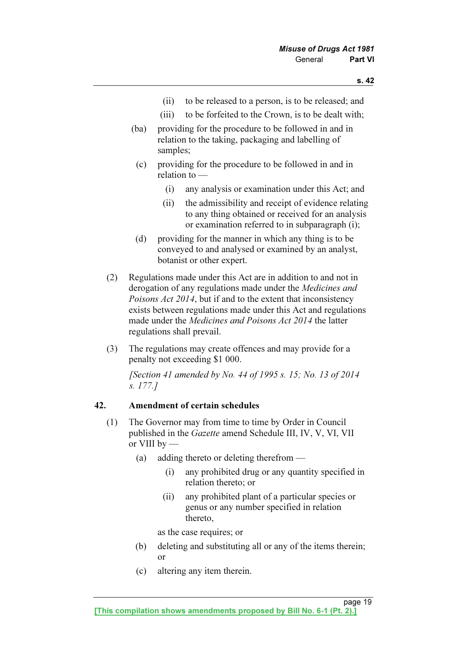- (ii) to be released to a person, is to be released; and
- (iii) to be forfeited to the Crown, is to be dealt with;
- (ba) providing for the procedure to be followed in and in relation to the taking, packaging and labelling of samples;
- (c) providing for the procedure to be followed in and in relation to —
	- (i) any analysis or examination under this Act; and
	- (ii) the admissibility and receipt of evidence relating to any thing obtained or received for an analysis or examination referred to in subparagraph (i);
- (d) providing for the manner in which any thing is to be conveyed to and analysed or examined by an analyst, botanist or other expert.
- (2) Regulations made under this Act are in addition to and not in derogation of any regulations made under the Medicines and Poisons Act 2014, but if and to the extent that inconsistency exists between regulations made under this Act and regulations made under the Medicines and Poisons Act 2014 the latter regulations shall prevail.
- (3) The regulations may create offences and may provide for a penalty not exceeding \$1 000.

 [Section 41 amended by No. 44 of 1995 s. 15; No. 13 of 2014 s. 177.]

#### 42. Amendment of certain schedules

- (1) The Governor may from time to time by Order in Council published in the Gazette amend Schedule III, IV, V, VI, VII or VIII by —
	- (a) adding thereto or deleting therefrom
		- (i) any prohibited drug or any quantity specified in relation thereto; or
		- (ii) any prohibited plant of a particular species or genus or any number specified in relation thereto,

as the case requires; or

- (b) deleting and substituting all or any of the items therein; or
- (c) altering any item therein.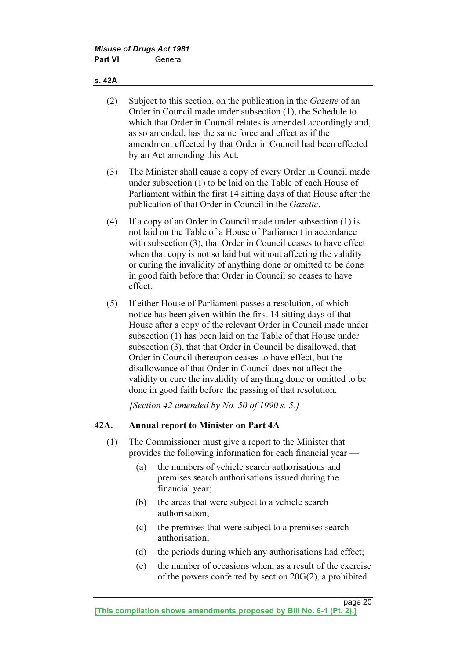#### s. 42A

- (2) Subject to this section, on the publication in the Gazette of an Order in Council made under subsection (1), the Schedule to which that Order in Council relates is amended accordingly and, as so amended, has the same force and effect as if the amendment effected by that Order in Council had been effected by an Act amending this Act.
- (3) The Minister shall cause a copy of every Order in Council made under subsection (1) to be laid on the Table of each House of Parliament within the first 14 sitting days of that House after the publication of that Order in Council in the Gazette.
- (4) If a copy of an Order in Council made under subsection (1) is not laid on the Table of a House of Parliament in accordance with subsection (3), that Order in Council ceases to have effect when that copy is not so laid but without affecting the validity or curing the invalidity of anything done or omitted to be done in good faith before that Order in Council so ceases to have effect.
- (5) If either House of Parliament passes a resolution, of which notice has been given within the first 14 sitting days of that House after a copy of the relevant Order in Council made under subsection (1) has been laid on the Table of that House under subsection (3), that that Order in Council be disallowed, that Order in Council thereupon ceases to have effect, but the disallowance of that Order in Council does not affect the validity or cure the invalidity of anything done or omitted to be done in good faith before the passing of that resolution.

[Section 42 amended by No. 50 of 1990 s. 5.]

#### 42A. Annual report to Minister on Part 4A

- (1) The Commissioner must give a report to the Minister that provides the following information for each financial year —
	- (a) the numbers of vehicle search authorisations and premises search authorisations issued during the financial year;
	- (b) the areas that were subject to a vehicle search authorisation;
	- (c) the premises that were subject to a premises search authorisation;
	- (d) the periods during which any authorisations had effect;
	- (e) the number of occasions when, as a result of the exercise of the powers conferred by section 20G(2), a prohibited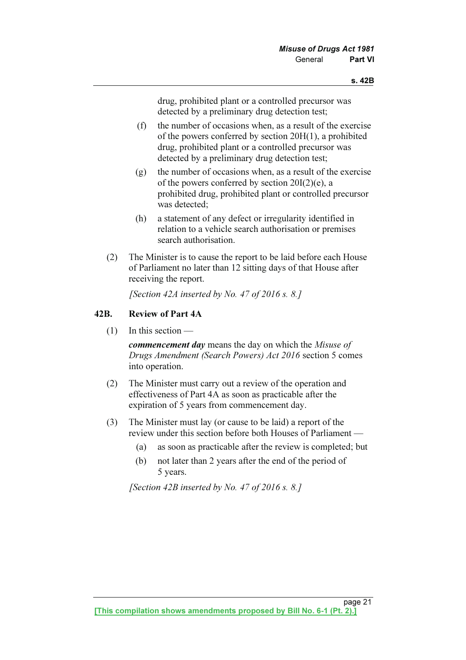drug, prohibited plant or a controlled precursor was detected by a preliminary drug detection test;

- (f) the number of occasions when, as a result of the exercise of the powers conferred by section 20H(1), a prohibited drug, prohibited plant or a controlled precursor was detected by a preliminary drug detection test;
- (g) the number of occasions when, as a result of the exercise of the powers conferred by section  $20I(2)(e)$ , a prohibited drug, prohibited plant or controlled precursor was detected;
- (h) a statement of any defect or irregularity identified in relation to a vehicle search authorisation or premises search authorisation.
- (2) The Minister is to cause the report to be laid before each House of Parliament no later than 12 sitting days of that House after receiving the report.

[Section 42A inserted by No. 47 of 2016 s. 8.]

#### 42B. Review of Part 4A

 $(1)$  In this section —

commencement day means the day on which the Misuse of Drugs Amendment (Search Powers) Act 2016 section 5 comes into operation.

- (2) The Minister must carry out a review of the operation and effectiveness of Part 4A as soon as practicable after the expiration of 5 years from commencement day.
- (3) The Minister must lay (or cause to be laid) a report of the review under this section before both Houses of Parliament —
	- (a) as soon as practicable after the review is completed; but
	- (b) not later than 2 years after the end of the period of 5 years.

[Section 42B inserted by No. 47 of 2016 s. 8.]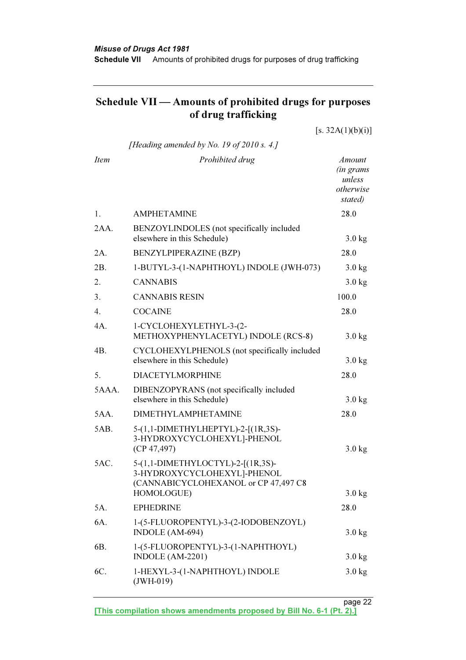## Schedule VII — Amounts of prohibited drugs for purposes of drug trafficking

| [Heading amended by No. 19 of 2010 s. 4.]<br><b>Item</b><br>Prohibited drug<br><b>Amount</b><br><i>(in grams</i> )<br>unless<br>otherwise<br>stated)<br><b>AMPHETAMINE</b><br>28.0<br>1.<br>2AA.<br>BENZOYLINDOLES (not specifically included<br>elsewhere in this Schedule)<br>$3.0$ kg<br>BENZYLPIPERAZINE (BZP)<br>28.0<br>2A.<br>2B.<br>1-BUTYL-3-(1-NAPHTHOYL) INDOLE (JWH-073)<br>$3.0$ kg<br><b>CANNABIS</b><br>2.<br>$3.0$ kg | [s. 32A(1)(b)(i)] |
|---------------------------------------------------------------------------------------------------------------------------------------------------------------------------------------------------------------------------------------------------------------------------------------------------------------------------------------------------------------------------------------------------------------------------------------|-------------------|
|                                                                                                                                                                                                                                                                                                                                                                                                                                       |                   |
|                                                                                                                                                                                                                                                                                                                                                                                                                                       |                   |
|                                                                                                                                                                                                                                                                                                                                                                                                                                       |                   |
|                                                                                                                                                                                                                                                                                                                                                                                                                                       |                   |
|                                                                                                                                                                                                                                                                                                                                                                                                                                       |                   |
|                                                                                                                                                                                                                                                                                                                                                                                                                                       |                   |
|                                                                                                                                                                                                                                                                                                                                                                                                                                       |                   |
| 3.<br><b>CANNABIS RESIN</b><br>100.0                                                                                                                                                                                                                                                                                                                                                                                                  |                   |
| 4.<br><b>COCAINE</b><br>28.0                                                                                                                                                                                                                                                                                                                                                                                                          |                   |
| 4A.<br>1-CYCLOHEXYLETHYL-3-(2-<br>METHOXYPHENYLACETYL) INDOLE (RCS-8)<br>$3.0$ kg                                                                                                                                                                                                                                                                                                                                                     |                   |
| 4B.<br>CYCLOHEXYLPHENOLS (not specifically included<br>elsewhere in this Schedule)<br>$3.0$ kg                                                                                                                                                                                                                                                                                                                                        |                   |
| 5.<br><b>DIACETYLMORPHINE</b><br>28.0                                                                                                                                                                                                                                                                                                                                                                                                 |                   |
| 5AAA.<br>DIBENZOPYRANS (not specifically included<br>elsewhere in this Schedule)<br>$3.0$ kg                                                                                                                                                                                                                                                                                                                                          |                   |
| <b>DIMETHYLAMPHETAMINE</b><br>5AA.<br>28.0                                                                                                                                                                                                                                                                                                                                                                                            |                   |
| 5AB.<br>5-(1,1-DIMETHYLHEPTYL)-2-[(1R,3S)-<br>3-HYDROXYCYCLOHEXYL]-PHENOL<br>(CP 47, 497)<br>$3.0$ kg                                                                                                                                                                                                                                                                                                                                 |                   |
| 5AC.<br>5-(1,1-DIMETHYLOCTYL)-2-[(1R,3S)-<br>3-HYDROXYCYCLOHEXYL]-PHENOL<br>(CANNABICYCLOHEXANOL or CP 47,497 C8                                                                                                                                                                                                                                                                                                                      |                   |
| HOMOLOGUE)<br>$3.0$ kg                                                                                                                                                                                                                                                                                                                                                                                                                |                   |
| <b>EPHEDRINE</b><br>5A.<br>28.0                                                                                                                                                                                                                                                                                                                                                                                                       |                   |
| 6A.<br>1-(5-FLUOROPENTYL)-3-(2-IODOBENZOYL)<br>INDOLE (AM-694)<br>$3.0$ kg                                                                                                                                                                                                                                                                                                                                                            |                   |
| 1-(5-FLUOROPENTYL)-3-(1-NAPHTHOYL)<br>6B.<br>INDOLE (AM-2201)<br>$3.0$ kg                                                                                                                                                                                                                                                                                                                                                             |                   |
| 1-HEXYL-3-(1-NAPHTHOYL) INDOLE<br>6C.<br>$3.0$ kg<br>$(JWH-019)$                                                                                                                                                                                                                                                                                                                                                                      |                   |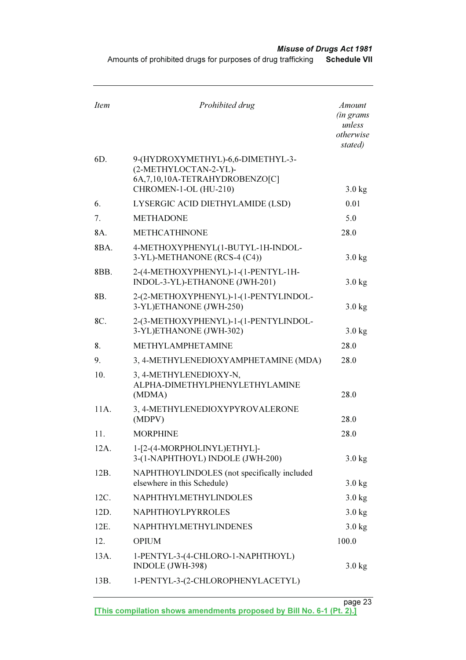Amounts of prohibited drugs for purposes of drug trafficking Schedule VII

| <b>Item</b> | Prohibited drug                                                                                                          | <b>Amount</b><br><i>(in grams</i><br>unless<br>otherwise<br>stated) |
|-------------|--------------------------------------------------------------------------------------------------------------------------|---------------------------------------------------------------------|
| 6D.         | 9-(HYDROXYMETHYL)-6,6-DIMETHYL-3-<br>(2-METHYLOCTAN-2-YL)-<br>6A, 7, 10, 10A-TETRAHYDROBENZO[C]<br>CHROMEN-1-OL (HU-210) | $3.0$ kg                                                            |
| 6.          | LYSERGIC ACID DIETHYLAMIDE (LSD)                                                                                         | 0.01                                                                |
| 7.          | <b>METHADONE</b>                                                                                                         | 5.0                                                                 |
| 8A.         | <b>METHCATHINONE</b>                                                                                                     | 28.0                                                                |
| 8BA.        | 4-METHOXYPHENYL(1-BUTYL-1H-INDOL-<br>3-YL)-METHANONE (RCS-4 (C4))                                                        | $3.0$ kg                                                            |
| 8BB.        | 2-(4-METHOXYPHENYL)-1-(1-PENTYL-1H-<br>INDOL-3-YL)-ETHANONE (JWH-201)                                                    | $3.0$ kg                                                            |
| 8B.         | 2-(2-METHOXYPHENYL)-1-(1-PENTYLINDOL-<br>3-YL)ETHANONE (JWH-250)                                                         | $3.0$ kg                                                            |
| 8C.         | 2-(3-METHOXYPHENYL)-1-(1-PENTYLINDOL-<br>3-YL)ETHANONE (JWH-302)                                                         | $3.0$ kg                                                            |
| 8.          | METHYLAMPHETAMINE                                                                                                        | 28.0                                                                |
| 9.          | 3, 4-METHYLENEDIOXYAMPHETAMINE (MDA)                                                                                     | 28.0                                                                |
| 10.         | 3, 4-METHYLENEDIOXY-N,<br>ALPHA-DIMETHYLPHENYLETHYLAMINE<br>(MDMA)                                                       | 28.0                                                                |
| 11A.        | 3, 4-METHYLENEDIOXYPYROVALERONE<br>(MDPV)                                                                                | 28.0                                                                |
| 11.         | <b>MORPHINE</b>                                                                                                          | 28.0                                                                |
| 12A.        | 1-[2-(4-MORPHOLINYL)ETHYL]-<br>3-(1-NAPHTHOYL) INDOLE (JWH-200)                                                          | $3.0$ kg                                                            |
| 12B.        | NAPHTHOYLINDOLES (not specifically included<br>elsewhere in this Schedule)                                               | $3.0$ kg                                                            |
| 12C.        | NAPHTHYLMETHYLINDOLES                                                                                                    | $3.0$ kg                                                            |
| 12D.        | NAPHTHOYLPYRROLES                                                                                                        | $3.0$ kg                                                            |
| 12E.        | <b>NAPHTHYLMETHYLINDENES</b>                                                                                             | $3.0$ kg                                                            |
| 12.         | <b>OPIUM</b>                                                                                                             | 100.0                                                               |
| 13A.        | 1-PENTYL-3-(4-CHLORO-1-NAPHTHOYL)<br>INDOLE (JWH-398)                                                                    | $3.0$ kg                                                            |
| 13B.        | 1-PENTYL-3-(2-CHLOROPHENYLACETYL)                                                                                        |                                                                     |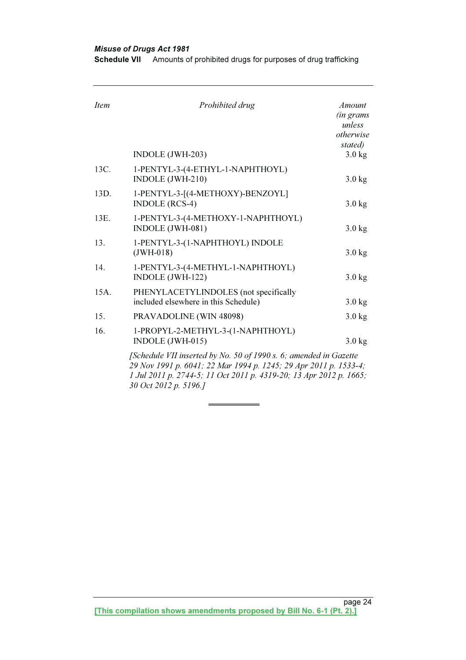30 Oct 2012 p. 5196.]

Misuse of Drugs Act 1981 Schedule VII Amounts of prohibited drugs for purposes of drug trafficking

| <b>Item</b> | Prohibited drug                                                                                                                                                                                             | <b>Amount</b><br><i>(in grams</i><br>unless<br>otherwise<br>stated) |
|-------------|-------------------------------------------------------------------------------------------------------------------------------------------------------------------------------------------------------------|---------------------------------------------------------------------|
|             | INDOLE (JWH-203)                                                                                                                                                                                            | $3.0$ kg                                                            |
| 13C.        | 1-PENTYL-3-(4-ETHYL-1-NAPHTHOYL)<br>INDOLE (JWH-210)                                                                                                                                                        | $3.0$ kg                                                            |
| 13D.        | 1-PENTYL-3-[(4-METHOXY)-BENZOYL]<br><b>INDOLE</b> (RCS-4)                                                                                                                                                   | $3.0$ kg                                                            |
| 13E.        | 1-PENTYL-3-(4-METHOXY-1-NAPHTHOYL)<br>INDOLE (JWH-081)                                                                                                                                                      | $3.0$ kg                                                            |
| 13.         | 1-PENTYL-3-(1-NAPHTHOYL) INDOLE<br>$(JWH-018)$                                                                                                                                                              | $3.0$ kg                                                            |
| 14.         | 1-PENTYL-3-(4-METHYL-1-NAPHTHOYL)<br>INDOLE (JWH-122)                                                                                                                                                       | $3.0$ kg                                                            |
| 15A.        | PHENYLACETYLINDOLES (not specifically<br>included elsewhere in this Schedule)                                                                                                                               | $3.0$ kg                                                            |
| 15.         | <b>PRAVADOLINE (WIN 48098)</b>                                                                                                                                                                              | $3.0$ kg                                                            |
| 16.         | 1-PROPYL-2-METHYL-3-(1-NAPHTHOYL)<br>INDOLE (JWH-015)                                                                                                                                                       | $3.0$ kg                                                            |
|             | [Schedule VII inserted by No. 50 of 1990 s. 6; amended in Gazette<br>29 Nov 1991 p. 6041; 22 Mar 1994 p. 1245; 29 Apr 2011 p. 1533-4;<br>1 Jul 2011 p. 2744-5; 11 Oct 2011 p. 4319-20; 13 Apr 2012 p. 1665; |                                                                     |

page 24 [This compilation shows amendments proposed by Bill No. 6-1 (Pt. 2).]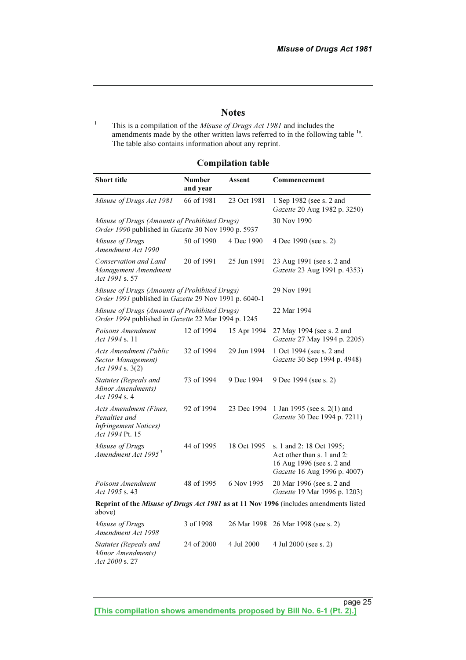#### **Notes**

1 This is a compilation of the Misuse of Drugs Act 1981 and includes the amendments made by the other written laws referred to in the following table <sup>1a</sup>. The table also contains information about any reprint.

#### Compilation table

| <b>Short title</b>                                                                                     | <b>Number</b><br>and year | Assent      | Commencement                                                                                                        |
|--------------------------------------------------------------------------------------------------------|---------------------------|-------------|---------------------------------------------------------------------------------------------------------------------|
| Misuse of Drugs Act 1981                                                                               | 66 of 1981                | 23 Oct 1981 | 1 Sep 1982 (see s. 2 and<br>Gazette 20 Aug 1982 p. 3250)                                                            |
| Misuse of Drugs (Amounts of Prohibited Drugs)<br>Order 1990 published in Gazette 30 Nov 1990 p. 5937   |                           |             | 30 Nov 1990                                                                                                         |
| Misuse of Drugs<br>Amendment Act 1990                                                                  | 50 of 1990                | 4 Dec 1990  | 4 Dec 1990 (see s. 2)                                                                                               |
| Conservation and Land<br>Management Amendment<br>Act 1991 s. 57                                        | 20 of 1991                | 25 Jun 1991 | 23 Aug 1991 (see s. 2 and<br>Gazette 23 Aug 1991 p. 4353)                                                           |
| Misuse of Drugs (Amounts of Prohibited Drugs)<br>Order 1991 published in Gazette 29 Nov 1991 p. 6040-1 | 29 Nov 1991               |             |                                                                                                                     |
| Misuse of Drugs (Amounts of Prohibited Drugs)<br>Order 1994 published in Gazette 22 Mar 1994 p. 1245   |                           |             | 22 Mar 1994                                                                                                         |
| Poisons Amendment<br><i>Act 1994 s.</i> 11                                                             | 12 of 1994                | 15 Apr 1994 | 27 May 1994 (see s. 2 and<br>Gazette 27 May 1994 p. 2205)                                                           |
| Acts Amendment (Public<br>Sector Management)<br>Act 1994 s. 3(2)                                       | 32 of 1994                | 29 Jun 1994 | 1 Oct 1994 (see s. 2 and<br>Gazette 30 Sep 1994 p. 4948)                                                            |
| Statutes (Repeals and<br>Minor Amendments)<br>Act 1994 s. 4                                            | 73 of 1994                | 9 Dec 1994  | 9 Dec 1994 (see s. 2)                                                                                               |
| Acts Amendment (Fines,<br>Penalties and<br><b>Infringement Notices</b> )<br>Act 1994 Pt. 15            | 92 of 1994                | 23 Dec 1994 | 1 Jan 1995 (see s. $2(1)$ and<br>Gazette 30 Dec 1994 p. 7211)                                                       |
| Misuse of Drugs<br>Amendment Act 1995 <sup>3</sup>                                                     | 44 of 1995                | 18 Oct 1995 | s. 1 and 2: 18 Oct 1995;<br>Act other than s. 1 and 2:<br>16 Aug 1996 (see s. 2 and<br>Gazette 16 Aug 1996 p. 4007) |
| Poisons Amendment<br>Act 1995 s. 43                                                                    | 48 of 1995                | 6 Nov 1995  | 20 Mar 1996 (see s. 2 and<br>Gazette 19 Mar 1996 p. 1203)                                                           |
| above)                                                                                                 |                           |             | Reprint of the Misuse of Drugs Act 1981 as at 11 Nov 1996 (includes amendments listed                               |
| Misuse of Drugs<br>Amendment Act 1998                                                                  | 3 of 1998                 | 26 Mar 1998 | 26 Mar 1998 (see s. 2)                                                                                              |
| Statutes (Repeals and<br>Minor Amendments)<br>Act 2000 s. 27                                           | 24 of 2000                | 4 Jul 2000  | 4 Jul 2000 (see s. 2)                                                                                               |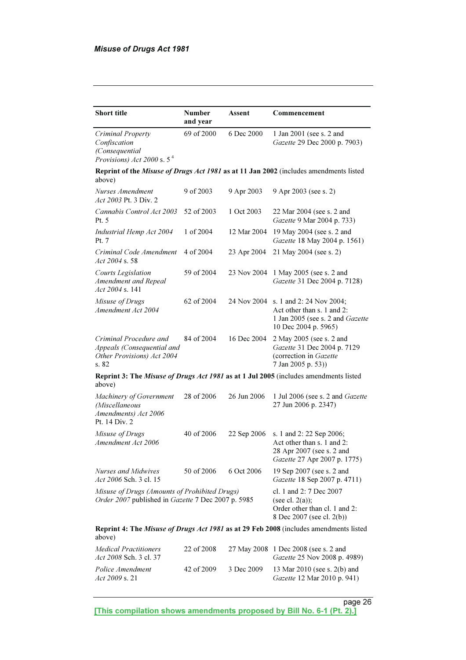| <b>Short title</b>                                                                                  | <b>Number</b><br>and year                                                                                   | Assent      | Commencement                                                                                                        |  |  |
|-----------------------------------------------------------------------------------------------------|-------------------------------------------------------------------------------------------------------------|-------------|---------------------------------------------------------------------------------------------------------------------|--|--|
| Criminal Property<br>Confiscation<br>(Consequential<br><i>Provisions) Act</i> 2000 s. $5^4$         | 69 of 2000                                                                                                  | 6 Dec 2000  | 1 Jan 2001 (see s. 2 and<br>Gazette 29 Dec 2000 p. 7903)                                                            |  |  |
| above)                                                                                              |                                                                                                             |             | Reprint of the Misuse of Drugs Act 1981 as at 11 Jan 2002 (includes amendments listed                               |  |  |
| Nurses Amendment<br>Act 2003 Pt. 3 Div. 2                                                           | 9 of 2003                                                                                                   | 9 Apr 2003  | 9 Apr 2003 (see s. 2)                                                                                               |  |  |
| Cannabis Control Act 2003<br>Pt. 5                                                                  | 52 of 2003                                                                                                  | 1 Oct 2003  | 22 Mar 2004 (see s. 2 and<br>Gazette 9 Mar 2004 p. 733)                                                             |  |  |
| Industrial Hemp Act 2004<br>Pt. 7                                                                   | 1 of 2004                                                                                                   | 12 Mar 2004 | 19 May 2004 (see s. 2 and<br>Gazette 18 May 2004 p. 1561)                                                           |  |  |
| Criminal Code Amendment<br>Act 2004 s. 58                                                           | 4 of 2004                                                                                                   | 23 Apr 2004 | 21 May 2004 (see s. 2)                                                                                              |  |  |
| Courts Legislation<br>Amendment and Repeal<br>Act 2004 s. 141                                       | 59 of 2004                                                                                                  | 23 Nov 2004 | 1 May 2005 (see s. 2 and<br>Gazette 31 Dec 2004 p. 7128)                                                            |  |  |
| Misuse of Drugs<br>Amendment Act 2004                                                               | 62 of 2004                                                                                                  | 24 Nov 2004 | s. 1 and 2: 24 Nov 2004;<br>Act other than s. 1 and 2:<br>1 Jan 2005 (see s. 2 and Gazette<br>10 Dec 2004 p. 5965)  |  |  |
| Criminal Procedure and<br>Appeals (Consequential and<br>Other Provisions) Act 2004<br>s. 82         | 84 of 2004                                                                                                  | 16 Dec 2004 | 2 May 2005 (see s. 2 and<br>Gazette 31 Dec 2004 p. 7129<br>(correction in Gazette<br>7 Jan 2005 p. 53))             |  |  |
| above)                                                                                              |                                                                                                             |             | Reprint 3: The Misuse of Drugs Act 1981 as at 1 Jul 2005 (includes amendments listed                                |  |  |
| Machinery of Government<br>(Miscellaneous<br>Amendments) Act 2006<br>Pt. 14 Div. 2                  | 28 of 2006                                                                                                  | 26 Jun 2006 | 1 Jul 2006 (see s. 2 and Gazette<br>27 Jun 2006 p. 2347)                                                            |  |  |
| Misuse of Drugs<br>Amendment Act 2006                                                               | 40 of 2006                                                                                                  | 22 Sep 2006 | s. 1 and 2: 22 Sep 2006;<br>Act other than s. 1 and 2:<br>28 Apr 2007 (see s. 2 and<br>Gazette 27 Apr 2007 p. 1775) |  |  |
| Nurses and Midwives<br>Act 2006 Sch. 3 cl. 15                                                       | 50 of 2006                                                                                                  | 6 Oct 2006  | 19 Sep 2007 (see s. 2 and<br>Gazette 18 Sep 2007 p. 4711)                                                           |  |  |
| Misuse of Drugs (Amounts of Prohibited Drugs)<br>Order 2007 published in Gazette 7 Dec 2007 p. 5985 | cl. 1 and 2: 7 Dec 2007<br>(see cl. $2(a)$ );<br>Order other than cl. 1 and 2:<br>8 Dec 2007 (see cl. 2(b)) |             |                                                                                                                     |  |  |
| above)                                                                                              |                                                                                                             |             | Reprint 4: The Misuse of Drugs Act 1981 as at 29 Feb 2008 (includes amendments listed                               |  |  |
| <b>Medical Practitioners</b><br>Act 2008 Sch. 3 cl. 37                                              | 22 of 2008                                                                                                  | 27 May 2008 | 1 Dec 2008 (see s. 2 and<br>Gazette 25 Nov 2008 p. 4989)                                                            |  |  |
| Police Amendment<br>Act 2009 s. 21                                                                  | 42 of 2009                                                                                                  | 3 Dec 2009  | 13 Mar 2010 (see s. 2(b) and<br>Gazette 12 Mar 2010 p. 941)                                                         |  |  |

page 26 and 20 and 20 and 20 and 20 and 20 and 20 and 20 and 20 and 20 and 20 and 20 and 20 and 20 and 20 and [This compilation shows amendments proposed by Bill No. 6-1 (Pt. 2).]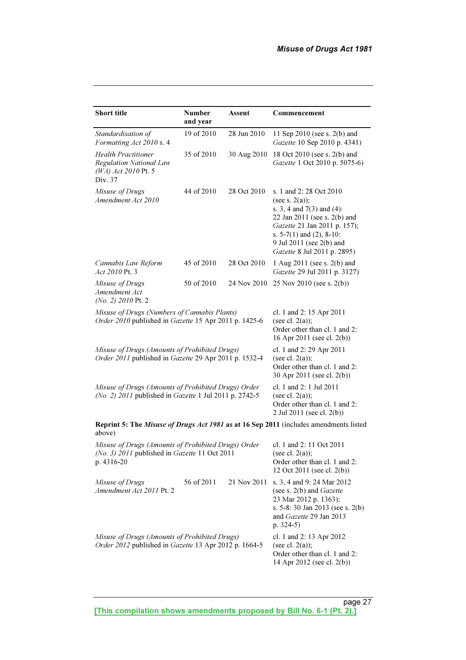| <b>Short title</b>                                                                                                 | <b>Number</b><br>and year                                                                                     | Assent      | Commencement                                                                                                                                                                                                                                 |
|--------------------------------------------------------------------------------------------------------------------|---------------------------------------------------------------------------------------------------------------|-------------|----------------------------------------------------------------------------------------------------------------------------------------------------------------------------------------------------------------------------------------------|
| Standardisation of<br>Formatting Act 2010 s. 4                                                                     | 19 of 2010                                                                                                    | 28 Jun 2010 | 11 Sep 2010 (see s. 2(b) and<br>Gazette 10 Sep 2010 p. 4341)                                                                                                                                                                                 |
| <b>Health Practitioner</b><br>Regulation National Law<br>(WA) Act 2010 Pt. 5<br>Div. 37                            | 35 of 2010                                                                                                    | 30 Aug 2010 | 18 Oct 2010 (see s. 2(b) and<br>Gazette 1 Oct 2010 p. 5075-6)                                                                                                                                                                                |
| Misuse of Drugs<br>Amendment Act 2010                                                                              | 44 of 2010                                                                                                    | 28 Oct 2010 | s. 1 and 2:28 Oct 2010<br>(see s. $2(a)$ );<br>s. 3, 4 and $7(3)$ and $(4)$ :<br>22 Jan 2011 (see s. 2(b) and<br>Gazette 21 Jan 2011 p. 157);<br>s. $5-7(1)$ and $(2)$ , $8-10$ :<br>9 Jul 2011 (see 2(b) and<br>Gazette 8 Jul 2011 p. 2895) |
| Cannabis Law Reform<br>Act 2010 Pt. 3                                                                              | 45 of 2010                                                                                                    | 28 Oct 2010 | 1 Aug 2011 (see s. 2(b) and<br>Gazette 29 Jul 2011 p. 3127)                                                                                                                                                                                  |
| Misuse of Drugs<br>Amendment Act<br>(No. 2) 2010 Pt. 2                                                             | 50 of 2010                                                                                                    | 24 Nov 2010 | 25 Nov 2010 (see s. $2(b)$ )                                                                                                                                                                                                                 |
| Misuse of Drugs (Numbers of Cannabis Plants)<br>Order 2010 published in Gazette 15 Apr 2011 p. 1425-6              | cl. 1 and 2: 15 Apr 2011<br>(see cl. $2(a)$ );<br>Order other than cl. 1 and 2:<br>16 Apr 2011 (see cl. 2(b)) |             |                                                                                                                                                                                                                                              |
| Misuse of Drugs (Amounts of Prohibited Drugs)<br>Order 2011 published in Gazette 29 Apr 2011 p. 1532-4             | cl. 1 and 2: 29 Apr 2011<br>(see cl. $2(a)$ );<br>Order other than cl. 1 and 2:<br>30 Apr 2011 (see cl. 2(b)) |             |                                                                                                                                                                                                                                              |
| Misuse of Drugs (Amounts of Prohibited Drugs) Order<br>(No. 2) 2011 published in Gazette 1 Jul 2011 p. 2742-5      | cl. 1 and 2: 1 Jul 2011<br>(see cl. $2(a)$ );<br>Order other than cl. 1 and 2:<br>2 Jul 2011 (see cl. 2(b))   |             |                                                                                                                                                                                                                                              |
| above)                                                                                                             |                                                                                                               |             | Reprint 5: The Misuse of Drugs Act 1981 as at 16 Sep 2011 (includes amendments listed                                                                                                                                                        |
| Misuse of Drugs (Amounts of Prohibited Drugs) Order<br>(No. 3) 2011 published in Gazette 11 Oct 2011<br>p. 4316-20 |                                                                                                               |             | cl. 1 and 2: 11 Oct 2011<br>(see cl. $2(a)$ );<br>Order other than cl. 1 and 2:<br>12 Oct 2011 (see cl. 2(b))                                                                                                                                |
| Misuse of Drugs<br>Amendment Act 2011 Pt. 2                                                                        | 56 of 2011                                                                                                    | 21 Nov 2011 | s. 3, 4 and 9: 24 Mar 2012<br>(see s. $2(b)$ and <i>Gazette</i><br>23 Mar 2012 p. 1363);<br>s. 5-8:30 Jan 2013 (see s. 2(b)<br>and Gazette 29 Jan 2013<br>p. $324-5)$                                                                        |
| Misuse of Drugs (Amounts of Prohibited Drugs)<br>Order 2012 published in Gazette 13 Apr 2012 p. 1664-5             |                                                                                                               |             | cl. 1 and 2: 13 Apr 2012<br>(see cl. $2(a)$ );<br>Order other than cl. 1 and 2:<br>14 Apr 2012 (see cl. 2(b))                                                                                                                                |

page 27 and 27 and 27 and 27 and 27 and 27 and 27 and 27 and 27 and 27 and 27 and 27 and 27 and 27 and 27 [This compilation shows amendments proposed by Bill No. 6-1 (Pt. 2).]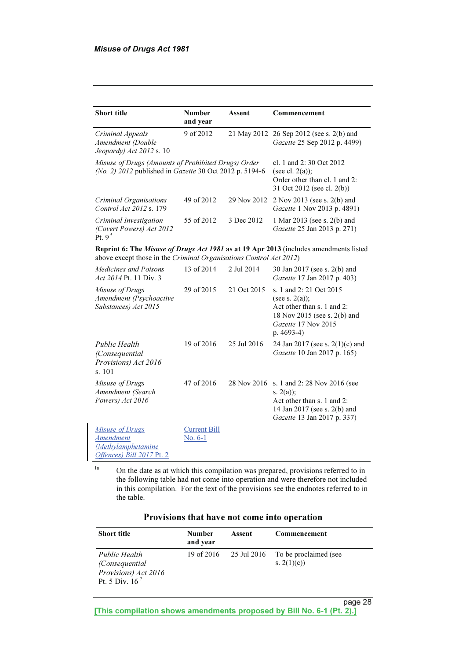| <b>Short title</b>                                                                                                                                          | <b>Number</b><br>and year      | Assent      | Commencement                                                                                                                                     |  |
|-------------------------------------------------------------------------------------------------------------------------------------------------------------|--------------------------------|-------------|--------------------------------------------------------------------------------------------------------------------------------------------------|--|
| Criminal Appeals<br>Amendment (Double<br>Jeopardy) Act 2012 s. 10                                                                                           | 9 of 2012                      |             | 21 May 2012 26 Sep 2012 (see s. 2(b) and<br>Gazette 25 Sep 2012 p. 4499)                                                                         |  |
| Misuse of Drugs (Amounts of Prohibited Drugs) Order<br>(No. 2) 2012 published in Gazette 30 Oct 2012 p. 5194-6                                              |                                |             | cl. 1 and 2:30 Oct 2012<br>(see cl. $2(a)$ );<br>Order other than cl. 1 and 2:<br>31 Oct 2012 (see cl. 2(b))                                     |  |
| Criminal Organisations<br>Control Act 2012 s. 179                                                                                                           | 49 of 2012                     | 29 Nov 2012 | 2 Nov 2013 (see s. 2(b) and<br>Gazette 1 Nov 2013 p. 4891)                                                                                       |  |
| Criminal Investigation<br>(Covert Powers) Act 2012<br>Pt. $9^5$                                                                                             | 55 of 2012                     | 3 Dec 2012  | 1 Mar 2013 (see s. 2(b) and<br>Gazette 25 Jan 2013 p. 271)                                                                                       |  |
| Reprint 6: The Misuse of Drugs Act 1981 as at 19 Apr 2013 (includes amendments listed<br>above except those in the Criminal Organisations Control Act 2012) |                                |             |                                                                                                                                                  |  |
| <i>Medicines and Poisons</i><br>Act 2014 Pt. 11 Div. 3                                                                                                      | 13 of 2014                     | 2 Jul 2014  | 30 Jan 2017 (see s. 2(b) and<br>Gazette 17 Jan 2017 p. 403)                                                                                      |  |
| Misuse of Drugs<br>Amendment (Psychoactive<br>Substances) Act 2015                                                                                          | 29 of 2015                     | 21 Oct 2015 | s. 1 and 2: 21 Oct 2015<br>(see s. $2(a)$ );<br>Act other than s. 1 and 2:<br>18 Nov 2015 (see s. 2(b) and<br>Gazette 17 Nov 2015<br>$p.4693-4)$ |  |
| <b>Public Health</b><br>(Consequential<br>Provisions) Act 2016<br>s. 101                                                                                    | 19 of 2016                     | 25 Jul 2016 | 24 Jan 2017 (see s. 2(1)(c) and<br>Gazette 10 Jan 2017 p. 165)                                                                                   |  |
| Misuse of Drugs<br>Amendment (Search<br>Powers) Act 2016                                                                                                    | 47 of 2016                     | 28 Nov 2016 | s. 1 and 2:28 Nov 2016 (see<br>s. $2(a)$ ;<br>Act other than s. 1 and 2:<br>14 Jan 2017 (see s. 2(b) and<br>Gazette 13 Jan 2017 p. 337)          |  |
| <b>Misuse of Drugs</b><br><b>Amendment</b><br>(Methylamphetamine<br>Offences) Bill 2017 Pt. 2                                                               | <b>Current Bill</b><br>No. 6-1 |             |                                                                                                                                                  |  |

<sup>1a</sup> On the date as at which this compilation was prepared, provisions referred to in the following table had not come into operation and were therefore not included in this compilation. For the text of the provisions see the endnotes referred to in the table.

| Provisions that have not come into operation |  |  |  |  |
|----------------------------------------------|--|--|--|--|
|----------------------------------------------|--|--|--|--|

| <b>Short title</b>                                                           | <b>Number</b><br>and year | Assent      | Commencement                          |
|------------------------------------------------------------------------------|---------------------------|-------------|---------------------------------------|
| Public Health<br>(Consequential)<br>Provisions) Act 2016<br>Pt. 5 Div. $167$ | 19 of 2016                | 25 Jul 2016 | To be proclaimed (see<br>s. $2(1)(c)$ |

page 28 and 20 and 20 and 20 and 20 and 20 and 20 and 20 and 20 and 20 and 20 and 20 and 20 and 20 and 20 and [This compilation shows amendments proposed by Bill No. 6-1 (Pt. 2).]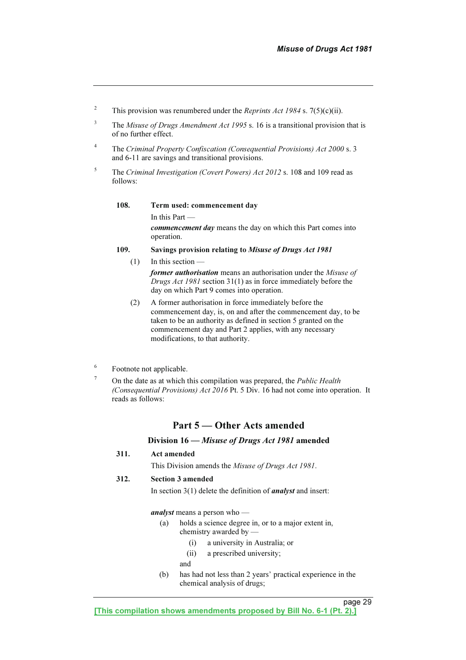- 2 This provision was renumbered under the *Reprints Act 1984* s.  $7(5)(c)(ii)$ .
- 3 The Misuse of Drugs Amendment Act 1995 s. 16 is a transitional provision that is of no further effect.
- 4 The Criminal Property Confiscation (Consequential Provisions) Act 2000 s. 3 and 6-11 are savings and transitional provisions.
- 5 The Criminal Investigation (Covert Powers) Act 2012 s. 108 and 109 read as follows:

108. Term used: commencement day

 In this Part commencement day means the day on which this Part comes into operation.

109. Savings provision relating to Misuse of Drugs Act 1981

 $(1)$  In this section former authorisation means an authorisation under the Misuse of Drugs Act 1981 section 31(1) as in force immediately before the day on which Part 9 comes into operation.

- (2) A former authorisation in force immediately before the commencement day, is, on and after the commencement day, to be taken to be an authority as defined in section 5 granted on the commencement day and Part 2 applies, with any necessary modifications, to that authority.
- 6 Footnote not applicable.
- 7 On the date as at which this compilation was prepared, the Public Health (Consequential Provisions) Act 2016 Pt. 5 Div. 16 had not come into operation. It reads as follows:

#### Part 5 — Other Acts amended

#### Division 16 — Misuse of Drugs Act 1981 amended

#### 311. Act amended

This Division amends the Misuse of Drugs Act 1981.

#### 312. Section 3 amended

In section  $3(1)$  delete the definition of *analyst* and insert:

analyst means a person who —

- (a) holds a science degree in, or to a major extent in, chemistry awarded by —
	- (i) a university in Australia; or
	- (ii) a prescribed university;
	- and
- (b) has had not less than 2 years' practical experience in the chemical analysis of drugs;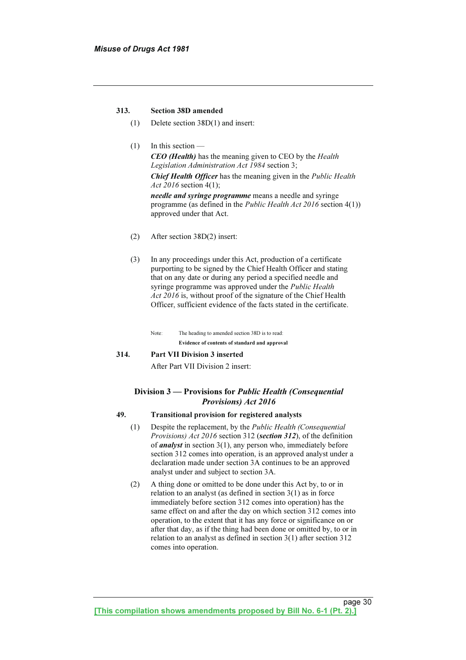#### 313. Section 38D amended

- (1) Delete section 38D(1) and insert:
- $(1)$  In this section CEO (Health) has the meaning given to CEO by the Health Legislation Administration Act 1984 section 3; Chief Health Officer has the meaning given in the Public Health Act 2016 section 4(1); needle and syringe programme means a needle and syringe programme (as defined in the Public Health Act 2016 section 4(1)) approved under that Act.
- (2) After section 38D(2) insert:
- (3) In any proceedings under this Act, production of a certificate purporting to be signed by the Chief Health Officer and stating that on any date or during any period a specified needle and syringe programme was approved under the *Public Health* Act 2016 is, without proof of the signature of the Chief Health Officer, sufficient evidence of the facts stated in the certificate.

 Note: The heading to amended section 38D is to read: Evidence of contents of standard and approval

#### 314. Part VII Division 3 inserted

After Part VII Division 2 insert:

# Division 3 — Provisions for *Public Health (Consequential Provisions*) Act 2016

#### Provisions) Act 2016 49. Transitional provision for registered analysts

- (1) Despite the replacement, by the Public Health (Consequential Provisions) Act 2016 section 312 (section 312), of the definition of *analyst* in section  $3(1)$ , any person who, immediately before section 312 comes into operation, is an approved analyst under a declaration made under section 3A continues to be an approved analyst under and subject to section 3A.
- (2) A thing done or omitted to be done under this Act by, to or in relation to an analyst (as defined in section 3(1) as in force immediately before section 312 comes into operation) has the same effect on and after the day on which section 312 comes into operation, to the extent that it has any force or significance on or after that day, as if the thing had been done or omitted by, to or in relation to an analyst as defined in section 3(1) after section 312 comes into operation.